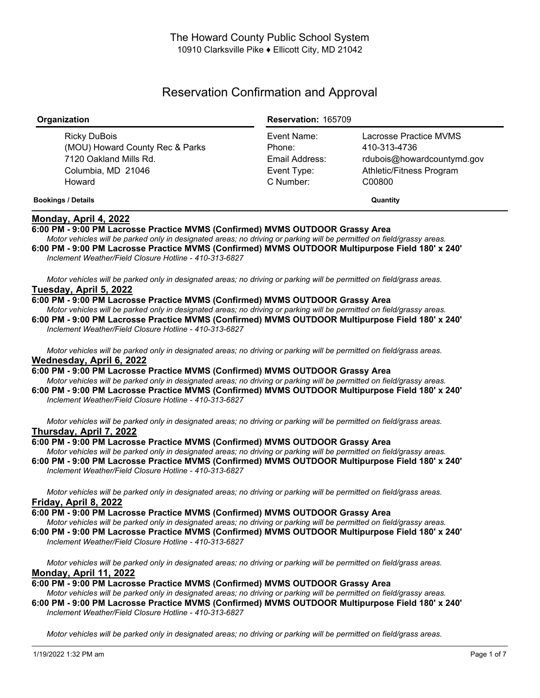# Reservation Confirmation and Approval

| Organization                                                                                              | <b>Reservation: 165709</b>                                          |                                                                                                            |
|-----------------------------------------------------------------------------------------------------------|---------------------------------------------------------------------|------------------------------------------------------------------------------------------------------------|
| Ricky DuBois<br>(MOU) Howard County Rec & Parks<br>7120 Oakland Mills Rd.<br>Columbia, MD 21046<br>Howard | Event Name:<br>Phone:<br>Email Address:<br>Event Type:<br>C Number: | Lacrosse Practice MVMS<br>410-313-4736<br>rdubois@howardcountymd.gov<br>Athletic/Fitness Program<br>C00800 |
| <b>Bookings / Details</b>                                                                                 |                                                                     | Quantity                                                                                                   |

## **Monday, April 4, 2022**

### **6:00 PM - 9:00 PM Lacrosse Practice MVMS (Confirmed) MVMS OUTDOOR Grassy Area**

Motor vehicles will be parked only in designated areas; no driving or parking will be permitted on field/grassy areas. **6:00 PM - 9:00 PM Lacrosse Practice MVMS (Confirmed) MVMS OUTDOOR Multipurpose Field 180' x 240'** *Inclement Weather/Field Closure Hotline - 410-313-6827*

Motor vehicles will be parked only in designated areas; no driving or parking will be permitted on field/grass areas. **Tuesday, April 5, 2022**

#### **6:00 PM - 9:00 PM Lacrosse Practice MVMS (Confirmed) MVMS OUTDOOR Grassy Area**

Motor vehicles will be parked only in designated areas; no driving or parking will be permitted on field/grassy areas. **6:00 PM - 9:00 PM Lacrosse Practice MVMS (Confirmed) MVMS OUTDOOR Multipurpose Field 180' x 240'** *Inclement Weather/Field Closure Hotline - 410-313-6827*

Motor vehicles will be parked only in designated areas; no driving or parking will be permitted on field/grass areas.

## **Wednesday, April 6, 2022**

**6:00 PM - 9:00 PM Lacrosse Practice MVMS (Confirmed) MVMS OUTDOOR Grassy Area** Motor vehicles will be parked only in designated areas; no driving or parking will be permitted on field/grassy areas.

**6:00 PM - 9:00 PM Lacrosse Practice MVMS (Confirmed) MVMS OUTDOOR Multipurpose Field 180' x 240'** *Inclement Weather/Field Closure Hotline - 410-313-6827*

Motor vehicles will be parked only in designated areas; no driving or parking will be permitted on field/grass areas. **Thursday, April 7, 2022**

# **6:00 PM - 9:00 PM Lacrosse Practice MVMS (Confirmed) MVMS OUTDOOR Grassy Area**

Motor vehicles will be parked only in designated areas; no driving or parking will be permitted on field/grassy areas. **6:00 PM - 9:00 PM Lacrosse Practice MVMS (Confirmed) MVMS OUTDOOR Multipurpose Field 180' x 240'** *Inclement Weather/Field Closure Hotline - 410-313-6827*

Motor vehicles will be parked only in designated areas; no driving or parking will be permitted on field/grass areas. **Friday, April 8, 2022**

**6:00 PM - 9:00 PM Lacrosse Practice MVMS (Confirmed) MVMS OUTDOOR Grassy Area**

Motor vehicles will be parked only in designated areas; no driving or parking will be permitted on field/grassy areas.

**6:00 PM - 9:00 PM Lacrosse Practice MVMS (Confirmed) MVMS OUTDOOR Multipurpose Field 180' x 240'** *Inclement Weather/Field Closure Hotline - 410-313-6827*

Motor vehicles will be parked only in designated areas; no driving or parking will be permitted on field/grass areas. **Monday, April 11, 2022**

**6:00 PM - 9:00 PM Lacrosse Practice MVMS (Confirmed) MVMS OUTDOOR Grassy Area**

Motor vehicles will be parked only in designated areas: no driving or parking will be permitted on field/grassy areas. **6:00 PM - 9:00 PM Lacrosse Practice MVMS (Confirmed) MVMS OUTDOOR Multipurpose Field 180' x 240'** *Inclement Weather/Field Closure Hotline - 410-313-6827*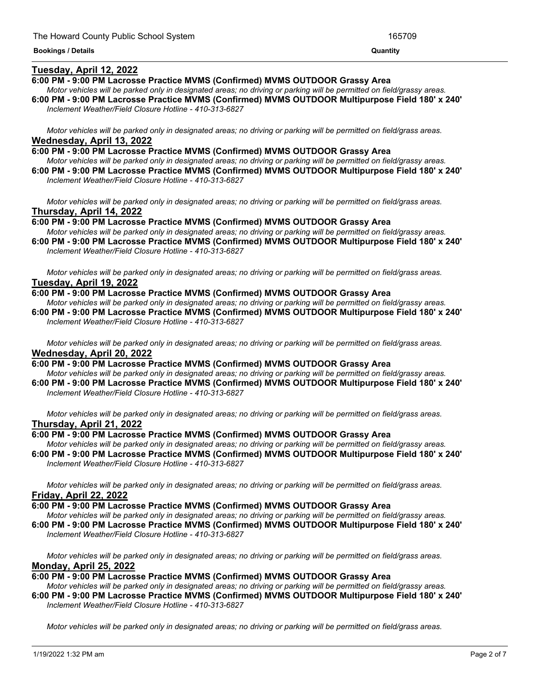#### **Tuesday, April 12, 2022**

#### **6:00 PM - 9:00 PM Lacrosse Practice MVMS (Confirmed) MVMS OUTDOOR Grassy Area**

Motor vehicles will be parked only in designated areas; no driving or parking will be permitted on field/grassy areas. **6:00 PM - 9:00 PM Lacrosse Practice MVMS (Confirmed) MVMS OUTDOOR Multipurpose Field 180' x 240'** *Inclement Weather/Field Closure Hotline - 410-313-6827*

<u> 1989 - Andrea Andrea Andrea Andrea Andrea Andrea Andrea Andrea Andrea Andrea Andrea Andrea Andrea Andrea Andr</u>

Motor vehicles will be parked only in designated areas; no driving or parking will be permitted on field/grass areas. **Wednesday, April 13, 2022**

**6:00 PM - 9:00 PM Lacrosse Practice MVMS (Confirmed) MVMS OUTDOOR Grassy Area** Motor vehicles will be parked only in designated areas; no driving or parking will be permitted on field/grassy areas. **6:00 PM - 9:00 PM Lacrosse Practice MVMS (Confirmed) MVMS OUTDOOR Multipurpose Field 180' x 240'**

*Inclement Weather/Field Closure Hotline - 410-313-6827*

Motor vehicles will be parked only in designated areas; no driving or parking will be permitted on field/grass areas. **Thursday, April 14, 2022**

**6:00 PM - 9:00 PM Lacrosse Practice MVMS (Confirmed) MVMS OUTDOOR Grassy Area** Motor vehicles will be parked only in designated areas; no driving or parking will be permitted on field/grassy areas.

**6:00 PM - 9:00 PM Lacrosse Practice MVMS (Confirmed) MVMS OUTDOOR Multipurpose Field 180' x 240'** *Inclement Weather/Field Closure Hotline - 410-313-6827*

Motor vehicles will be parked only in designated areas; no driving or parking will be permitted on field/grass areas. **Tuesday, April 19, 2022**

**6:00 PM - 9:00 PM Lacrosse Practice MVMS (Confirmed) MVMS OUTDOOR Grassy Area**

Motor vehicles will be parked only in designated areas: no driving or parking will be permitted on field/grassy areas. **6:00 PM - 9:00 PM Lacrosse Practice MVMS (Confirmed) MVMS OUTDOOR Multipurpose Field 180' x 240'** *Inclement Weather/Field Closure Hotline - 410-313-6827*

Motor vehicles will be parked only in designated areas; no driving or parking will be permitted on field/grass areas. **Wednesday, April 20, 2022**

**6:00 PM - 9:00 PM Lacrosse Practice MVMS (Confirmed) MVMS OUTDOOR Grassy Area**

Motor vehicles will be parked only in designated areas; no driving or parking will be permitted on field/grassy areas. **6:00 PM - 9:00 PM Lacrosse Practice MVMS (Confirmed) MVMS OUTDOOR Multipurpose Field 180' x 240'** *Inclement Weather/Field Closure Hotline - 410-313-6827*

Motor vehicles will be parked only in designated areas: no driving or parking will be permitted on field/grass areas. **Thursday, April 21, 2022**

#### **6:00 PM - 9:00 PM Lacrosse Practice MVMS (Confirmed) MVMS OUTDOOR Grassy Area**

Motor vehicles will be parked only in designated areas; no driving or parking will be permitted on field/grassy areas. **6:00 PM - 9:00 PM Lacrosse Practice MVMS (Confirmed) MVMS OUTDOOR Multipurpose Field 180' x 240'** *Inclement Weather/Field Closure Hotline - 410-313-6827*

Motor vehicles will be parked only in designated areas; no driving or parking will be permitted on field/grass areas. **Friday, April 22, 2022**

**6:00 PM - 9:00 PM Lacrosse Practice MVMS (Confirmed) MVMS OUTDOOR Grassy Area**

Motor vehicles will be parked only in designated areas; no driving or parking will be permitted on field/grassy areas. **6:00 PM - 9:00 PM Lacrosse Practice MVMS (Confirmed) MVMS OUTDOOR Multipurpose Field 180' x 240'**

*Inclement Weather/Field Closure Hotline - 410-313-6827*

Motor vehicles will be parked only in designated areas; no driving or parking will be permitted on field/grass areas. **Monday, April 25, 2022**

**6:00 PM - 9:00 PM Lacrosse Practice MVMS (Confirmed) MVMS OUTDOOR Grassy Area**

Motor vehicles will be parked only in designated areas; no driving or parking will be permitted on field/grassy areas. **6:00 PM - 9:00 PM Lacrosse Practice MVMS (Confirmed) MVMS OUTDOOR Multipurpose Field 180' x 240'** *Inclement Weather/Field Closure Hotline - 410-313-6827*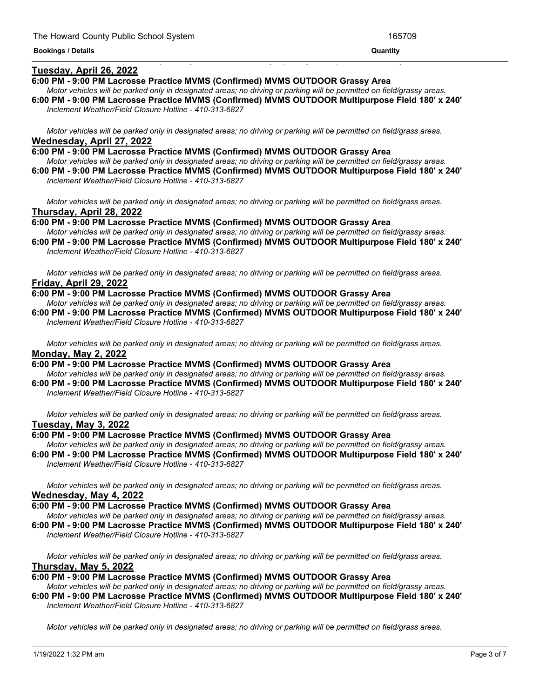#### **Tuesday, April 26, 2022**

#### **6:00 PM - 9:00 PM Lacrosse Practice MVMS (Confirmed) MVMS OUTDOOR Grassy Area**

Motor vehicles will be parked only in designated areas; no driving or parking will be permitted on field/grassy areas. **6:00 PM - 9:00 PM Lacrosse Practice MVMS (Confirmed) MVMS OUTDOOR Multipurpose Field 180' x 240'**

<u> 1989 - Andrea San Andrea San Andrea San Andrea San Andrea San Andrea San Andrea San Andrea San Andrea San An</u>

*Inclement Weather/Field Closure Hotline - 410-313-6827*

Motor vehicles will be parked only in designated areas; no driving or parking will be permitted on field/grass areas. **Wednesday, April 27, 2022**

**6:00 PM - 9:00 PM Lacrosse Practice MVMS (Confirmed) MVMS OUTDOOR Grassy Area** Motor vehicles will be parked only in designated areas; no driving or parking will be permitted on field/grassy areas. **6:00 PM - 9:00 PM Lacrosse Practice MVMS (Confirmed) MVMS OUTDOOR Multipurpose Field 180' x 240'** *Inclement Weather/Field Closure Hotline - 410-313-6827*

Motor vehicles will be parked only in designated areas; no driving or parking will be permitted on field/grass areas. **Thursday, April 28, 2022**

**6:00 PM - 9:00 PM Lacrosse Practice MVMS (Confirmed) MVMS OUTDOOR Grassy Area** Motor vehicles will be parked only in designated areas; no driving or parking will be permitted on field/grassy areas. **6:00 PM - 9:00 PM Lacrosse Practice MVMS (Confirmed) MVMS OUTDOOR Multipurpose Field 180' x 240'**

*Inclement Weather/Field Closure Hotline - 410-313-6827*

Motor vehicles will be parked only in designated areas; no driving or parking will be permitted on field/grass areas. **Friday, April 29, 2022**

**6:00 PM - 9:00 PM Lacrosse Practice MVMS (Confirmed) MVMS OUTDOOR Grassy Area**

Motor vehicles will be parked only in designated areas; no driving or parking will be permitted on field/grassy areas. **6:00 PM - 9:00 PM Lacrosse Practice MVMS (Confirmed) MVMS OUTDOOR Multipurpose Field 180' x 240'** *Inclement Weather/Field Closure Hotline - 410-313-6827*

Motor vehicles will be parked only in designated areas; no driving or parking will be permitted on field/grass areas. **Monday, May 2, 2022**

**6:00 PM - 9:00 PM Lacrosse Practice MVMS (Confirmed) MVMS OUTDOOR Grassy Area** Motor vehicles will be parked only in designated areas; no driving or parking will be permitted on field/grassy areas.

**6:00 PM - 9:00 PM Lacrosse Practice MVMS (Confirmed) MVMS OUTDOOR Multipurpose Field 180' x 240'** *Inclement Weather/Field Closure Hotline - 410-313-6827*

Motor vehicles will be parked only in designated areas; no driving or parking will be permitted on field/grass areas. **Tuesday, May 3, 2022**

#### **6:00 PM - 9:00 PM Lacrosse Practice MVMS (Confirmed) MVMS OUTDOOR Grassy Area**

Motor vehicles will be parked only in designated areas; no driving or parking will be permitted on field/grassy areas. **6:00 PM - 9:00 PM Lacrosse Practice MVMS (Confirmed) MVMS OUTDOOR Multipurpose Field 180' x 240'** *Inclement Weather/Field Closure Hotline - 410-313-6827*

Motor vehicles will be parked only in designated areas; no driving or parking will be permitted on field/grass areas. **Wednesday, May 4, 2022**

**6:00 PM - 9:00 PM Lacrosse Practice MVMS (Confirmed) MVMS OUTDOOR Grassy Area**

Motor vehicles will be parked only in designated areas; no driving or parking will be permitted on field/grassy areas. **6:00 PM - 9:00 PM Lacrosse Practice MVMS (Confirmed) MVMS OUTDOOR Multipurpose Field 180' x 240'**

*Inclement Weather/Field Closure Hotline - 410-313-6827*

Motor vehicles will be parked only in designated areas; no driving or parking will be permitted on field/grass areas. **Thursday, May 5, 2022**

#### **6:00 PM - 9:00 PM Lacrosse Practice MVMS (Confirmed) MVMS OUTDOOR Grassy Area**

Motor vehicles will be parked only in designated areas; no driving or parking will be permitted on field/grassy areas. **6:00 PM - 9:00 PM Lacrosse Practice MVMS (Confirmed) MVMS OUTDOOR Multipurpose Field 180' x 240'**

*Inclement Weather/Field Closure Hotline - 410-313-6827*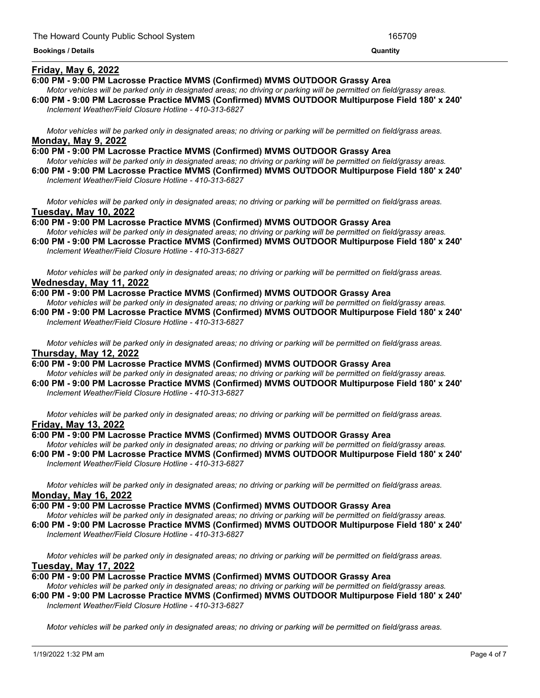#### **Friday, May 6, 2022**

#### **6:00 PM - 9:00 PM Lacrosse Practice MVMS (Confirmed) MVMS OUTDOOR Grassy Area**

Motor vehicles will be parked only in designated areas; no driving or parking will be permitted on field/grassy areas.

<u> 1989 - Andrea Andrea Andrea Andrea Andrea Andrea Andrea Andrea Andrea Andrea Andrea Andrea Andrea Andrea Andr</u>

**6:00 PM - 9:00 PM Lacrosse Practice MVMS (Confirmed) MVMS OUTDOOR Multipurpose Field 180' x 240'** *Inclement Weather/Field Closure Hotline - 410-313-6827*

Motor vehicles will be parked only in designated areas; no driving or parking will be permitted on field/grass areas. **Monday, May 9, 2022**

- **6:00 PM - 9:00 PM Lacrosse Practice MVMS (Confirmed) MVMS OUTDOOR Grassy Area** Motor vehicles will be parked only in designated areas; no driving or parking will be permitted on field/grassy areas.
- **6:00 PM - 9:00 PM Lacrosse Practice MVMS (Confirmed) MVMS OUTDOOR Multipurpose Field 180' x 240'** *Inclement Weather/Field Closure Hotline - 410-313-6827*

Motor vehicles will be parked only in designated areas; no driving or parking will be permitted on field/grass areas. **Tuesday, May 10, 2022**

**6:00 PM - 9:00 PM Lacrosse Practice MVMS (Confirmed) MVMS OUTDOOR Grassy Area** Motor vehicles will be parked only in designated areas; no driving or parking will be permitted on field/grassy areas.

**6:00 PM - 9:00 PM Lacrosse Practice MVMS (Confirmed) MVMS OUTDOOR Multipurpose Field 180' x 240'** *Inclement Weather/Field Closure Hotline - 410-313-6827*

Motor vehicles will be parked only in designated areas; no driving or parking will be permitted on field/grass areas. **Wednesday, May 11, 2022**

**6:00 PM - 9:00 PM Lacrosse Practice MVMS (Confirmed) MVMS OUTDOOR Grassy Area**

Motor vehicles will be parked only in designated areas: no driving or parking will be permitted on field/grassy areas. **6:00 PM - 9:00 PM Lacrosse Practice MVMS (Confirmed) MVMS OUTDOOR Multipurpose Field 180' x 240'** *Inclement Weather/Field Closure Hotline - 410-313-6827*

Motor vehicles will be parked only in designated areas; no driving or parking will be permitted on field/grass areas. **Thursday, May 12, 2022**

**6:00 PM - 9:00 PM Lacrosse Practice MVMS (Confirmed) MVMS OUTDOOR Grassy Area**

Motor vehicles will be parked only in designated areas; no driving or parking will be permitted on field/grassy areas. **6:00 PM - 9:00 PM Lacrosse Practice MVMS (Confirmed) MVMS OUTDOOR Multipurpose Field 180' x 240'** *Inclement Weather/Field Closure Hotline - 410-313-6827*

Motor vehicles will be parked only in designated areas: no driving or parking will be permitted on field/grass areas. **Friday, May 13, 2022**

#### **6:00 PM - 9:00 PM Lacrosse Practice MVMS (Confirmed) MVMS OUTDOOR Grassy Area**

Motor vehicles will be parked only in designated areas; no driving or parking will be permitted on field/grassy areas. **6:00 PM - 9:00 PM Lacrosse Practice MVMS (Confirmed) MVMS OUTDOOR Multipurpose Field 180' x 240'** *Inclement Weather/Field Closure Hotline - 410-313-6827*

Motor vehicles will be parked only in designated areas; no driving or parking will be permitted on field/grass areas. **Monday, May 16, 2022**

#### **6:00 PM - 9:00 PM Lacrosse Practice MVMS (Confirmed) MVMS OUTDOOR Grassy Area**

Motor vehicles will be parked only in designated areas; no driving or parking will be permitted on field/grassy areas. **6:00 PM - 9:00 PM Lacrosse Practice MVMS (Confirmed) MVMS OUTDOOR Multipurpose Field 180' x 240'**

*Inclement Weather/Field Closure Hotline - 410-313-6827*

Motor vehicles will be parked only in designated areas; no driving or parking will be permitted on field/grass areas. **Tuesday, May 17, 2022**

**6:00 PM - 9:00 PM Lacrosse Practice MVMS (Confirmed) MVMS OUTDOOR Grassy Area**

Motor vehicles will be parked only in designated areas; no driving or parking will be permitted on field/grassy areas. **6:00 PM - 9:00 PM Lacrosse Practice MVMS (Confirmed) MVMS OUTDOOR Multipurpose Field 180' x 240'** *Inclement Weather/Field Closure Hotline - 410-313-6827*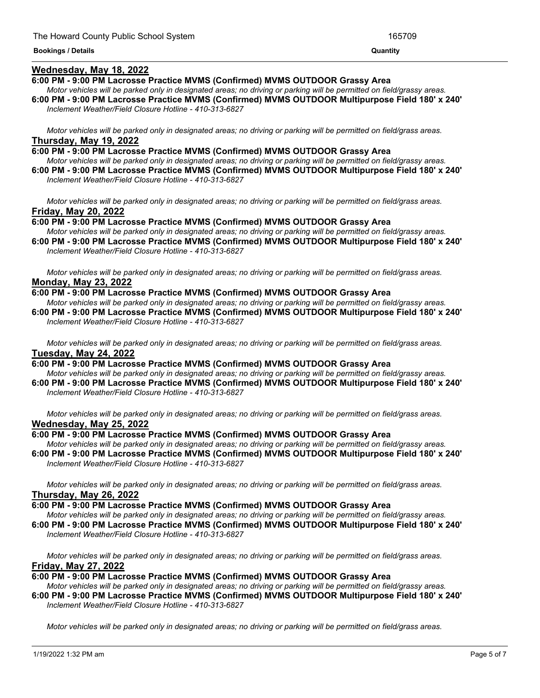#### **Wednesday, May 18, 2022**

#### **6:00 PM - 9:00 PM Lacrosse Practice MVMS (Confirmed) MVMS OUTDOOR Grassy Area**

Motor vehicles will be parked only in designated areas; no driving or parking will be permitted on field/grassy areas. **6:00 PM - 9:00 PM Lacrosse Practice MVMS (Confirmed) MVMS OUTDOOR Multipurpose Field 180' x 240'** *Inclement Weather/Field Closure Hotline - 410-313-6827*

Motor vehicles will be parked only in designated areas; no driving or parking will be permitted on field/grass areas. **Thursday, May 19, 2022**

**6:00 PM - 9:00 PM Lacrosse Practice MVMS (Confirmed) MVMS OUTDOOR Grassy Area** Motor vehicles will be parked only in designated areas; no driving or parking will be permitted on field/grassy areas. **6:00 PM - 9:00 PM Lacrosse Practice MVMS (Confirmed) MVMS OUTDOOR Multipurpose Field 180' x 240'**

*Inclement Weather/Field Closure Hotline - 410-313-6827*

Motor vehicles will be parked only in designated areas; no driving or parking will be permitted on field/grass areas. **Friday, May 20, 2022**

**6:00 PM - 9:00 PM Lacrosse Practice MVMS (Confirmed) MVMS OUTDOOR Grassy Area** Motor vehicles will be parked only in designated areas; no driving or parking will be permitted on field/grassy areas.

**6:00 PM - 9:00 PM Lacrosse Practice MVMS (Confirmed) MVMS OUTDOOR Multipurpose Field 180' x 240'** *Inclement Weather/Field Closure Hotline - 410-313-6827*

Motor vehicles will be parked only in designated areas; no driving or parking will be permitted on field/grass areas. **Monday, May 23, 2022**

**6:00 PM - 9:00 PM Lacrosse Practice MVMS (Confirmed) MVMS OUTDOOR Grassy Area**

Motor vehicles will be parked only in designated areas: no driving or parking will be permitted on field/grassy areas. **6:00 PM - 9:00 PM Lacrosse Practice MVMS (Confirmed) MVMS OUTDOOR Multipurpose Field 180' x 240'** *Inclement Weather/Field Closure Hotline - 410-313-6827*

Motor vehicles will be parked only in designated areas; no driving or parking will be permitted on field/grass areas. **Tuesday, May 24, 2022**

**6:00 PM - 9:00 PM Lacrosse Practice MVMS (Confirmed) MVMS OUTDOOR Grassy Area** Motor vehicles will be parked only in designated areas; no driving or parking will be permitted on field/grassy areas.

**6:00 PM - 9:00 PM Lacrosse Practice MVMS (Confirmed) MVMS OUTDOOR Multipurpose Field 180' x 240'** *Inclement Weather/Field Closure Hotline - 410-313-6827*

Motor vehicles will be parked only in designated areas; no driving or parking will be permitted on field/grass areas. **Wednesday, May 25, 2022**

#### **6:00 PM - 9:00 PM Lacrosse Practice MVMS (Confirmed) MVMS OUTDOOR Grassy Area**

Motor vehicles will be parked only in designated areas; no driving or parking will be permitted on field/grassy areas. **6:00 PM - 9:00 PM Lacrosse Practice MVMS (Confirmed) MVMS OUTDOOR Multipurpose Field 180' x 240'** *Inclement Weather/Field Closure Hotline - 410-313-6827*

Motor vehicles will be parked only in designated areas; no driving or parking will be permitted on field/grass areas. **Thursday, May 26, 2022**

**6:00 PM - 9:00 PM Lacrosse Practice MVMS (Confirmed) MVMS OUTDOOR Grassy Area**

Motor vehicles will be parked only in designated areas; no driving or parking will be permitted on field/grassy areas. **6:00 PM - 9:00 PM Lacrosse Practice MVMS (Confirmed) MVMS OUTDOOR Multipurpose Field 180' x 240'**

*Inclement Weather/Field Closure Hotline - 410-313-6827*

Motor vehicles will be parked only in designated areas; no driving or parking will be permitted on field/grass areas. **Friday, May 27, 2022**

**6:00 PM - 9:00 PM Lacrosse Practice MVMS (Confirmed) MVMS OUTDOOR Grassy Area**

Motor vehicles will be parked only in designated areas; no driving or parking will be permitted on field/grassy areas. **6:00 PM - 9:00 PM Lacrosse Practice MVMS (Confirmed) MVMS OUTDOOR Multipurpose Field 180' x 240'** *Inclement Weather/Field Closure Hotline - 410-313-6827*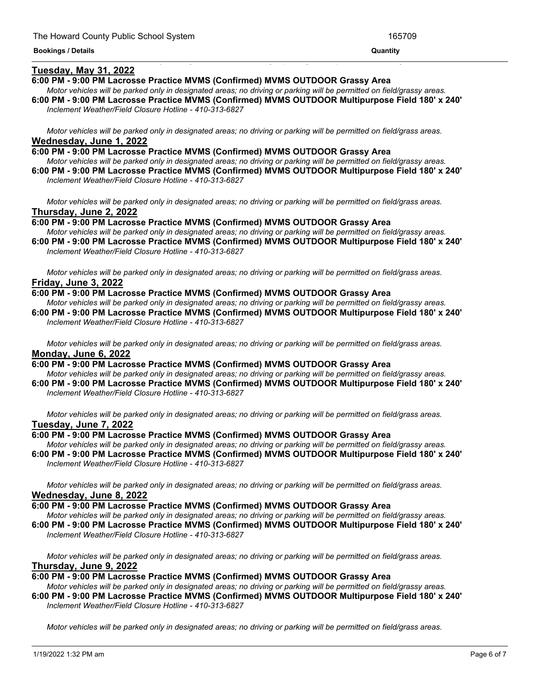#### <u> 1989 - Andrea Andrea Andrea Andrea Andrea Andrea Andrea Andrea Andrea Andrea Andrea Andrea Andrea Andrea And</u> **Tuesday, May 31, 2022**

# **6:00 PM - 9:00 PM Lacrosse Practice MVMS (Confirmed) MVMS OUTDOOR Grassy Area**

- Motor vehicles will be parked only in designated areas; no driving or parking will be permitted on field/grassy areas.
- **6:00 PM - 9:00 PM Lacrosse Practice MVMS (Confirmed) MVMS OUTDOOR Multipurpose Field 180' x 240'** *Inclement Weather/Field Closure Hotline - 410-313-6827*

Motor vehicles will be parked only in designated areas; no driving or parking will be permitted on field/grass areas. **Wednesday, June 1, 2022**

**6:00 PM - 9:00 PM Lacrosse Practice MVMS (Confirmed) MVMS OUTDOOR Grassy Area** Motor vehicles will be parked only in designated areas; no driving or parking will be permitted on field/grassy areas. **6:00 PM - 9:00 PM Lacrosse Practice MVMS (Confirmed) MVMS OUTDOOR Multipurpose Field 180' x 240'**

*Inclement Weather/Field Closure Hotline - 410-313-6827*

Motor vehicles will be parked only in designated areas; no driving or parking will be permitted on field/grass areas. **Thursday, June 2, 2022**

**6:00 PM - 9:00 PM Lacrosse Practice MVMS (Confirmed) MVMS OUTDOOR Grassy Area** Motor vehicles will be parked only in designated areas; no driving or parking will be permitted on field/grassy areas.

**6:00 PM - 9:00 PM Lacrosse Practice MVMS (Confirmed) MVMS OUTDOOR Multipurpose Field 180' x 240'** *Inclement Weather/Field Closure Hotline - 410-313-6827*

Motor vehicles will be parked only in designated areas; no driving or parking will be permitted on field/grass areas. **Friday, June 3, 2022**

#### **6:00 PM - 9:00 PM Lacrosse Practice MVMS (Confirmed) MVMS OUTDOOR Grassy Area**

Motor vehicles will be parked only in designated areas; no driving or parking will be permitted on field/grassy areas. **6:00 PM - 9:00 PM Lacrosse Practice MVMS (Confirmed) MVMS OUTDOOR Multipurpose Field 180' x 240'** *Inclement Weather/Field Closure Hotline - 410-313-6827*

Motor vehicles will be parked only in designated areas; no driving or parking will be permitted on field/grass areas. **Monday, June 6, 2022**

**6:00 PM - 9:00 PM Lacrosse Practice MVMS (Confirmed) MVMS OUTDOOR Grassy Area** Motor vehicles will be parked only in designated areas; no driving or parking will be permitted on field/grassy areas.

**6:00 PM - 9:00 PM Lacrosse Practice MVMS (Confirmed) MVMS OUTDOOR Multipurpose Field 180' x 240'** *Inclement Weather/Field Closure Hotline - 410-313-6827*

Motor vehicles will be parked only in designated areas; no driving or parking will be permitted on field/grass areas. **Tuesday, June 7, 2022**

#### **6:00 PM - 9:00 PM Lacrosse Practice MVMS (Confirmed) MVMS OUTDOOR Grassy Area**

Motor vehicles will be parked only in designated areas; no driving or parking will be permitted on field/grassy areas. **6:00 PM - 9:00 PM Lacrosse Practice MVMS (Confirmed) MVMS OUTDOOR Multipurpose Field 180' x 240'** *Inclement Weather/Field Closure Hotline - 410-313-6827*

Motor vehicles will be parked only in designated areas; no driving or parking will be permitted on field/grass areas. **Wednesday, June 8, 2022**

#### **6:00 PM - 9:00 PM Lacrosse Practice MVMS (Confirmed) MVMS OUTDOOR Grassy Area**

Motor vehicles will be parked only in designated areas; no driving or parking will be permitted on field/grassy areas. **6:00 PM - 9:00 PM Lacrosse Practice MVMS (Confirmed) MVMS OUTDOOR Multipurpose Field 180' x 240'**

*Inclement Weather/Field Closure Hotline - 410-313-6827*

Motor vehicles will be parked only in designated areas; no driving or parking will be permitted on field/grass areas. **Thursday, June 9, 2022**

#### **6:00 PM - 9:00 PM Lacrosse Practice MVMS (Confirmed) MVMS OUTDOOR Grassy Area**

Motor vehicles will be parked only in designated areas; no driving or parking will be permitted on field/grassy areas. **6:00 PM - 9:00 PM Lacrosse Practice MVMS (Confirmed) MVMS OUTDOOR Multipurpose Field 180' x 240'** *Inclement Weather/Field Closure Hotline - 410-313-6827*